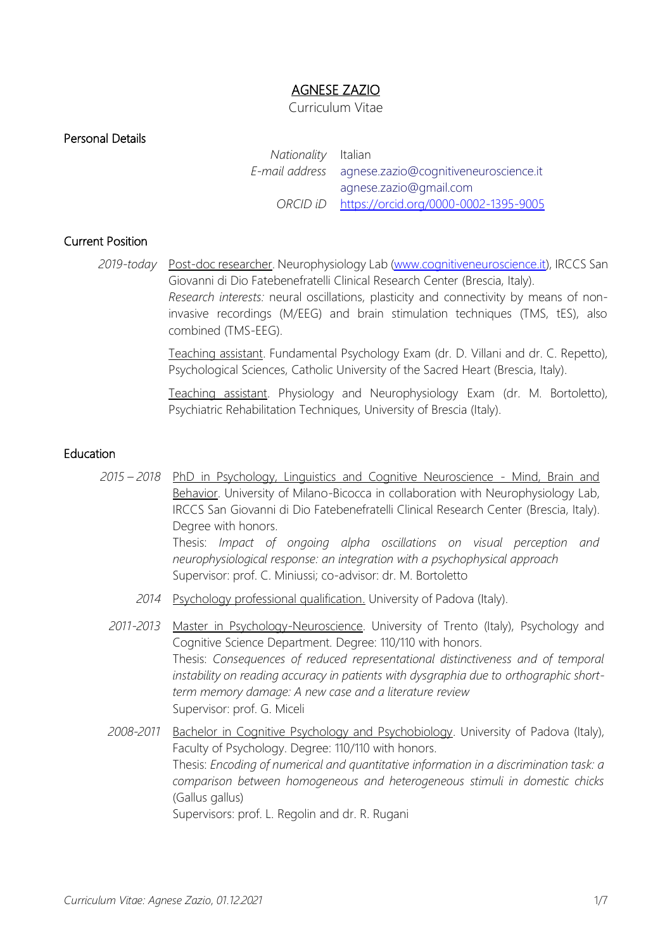# AGNESE ZAZIO

#### Curriculum Vitae

Personal Details

*Nationality* Italian *E-mail address* [agnese.zazio@cognitiveneuroscience.it](mailto:agnese.zazio@cognitiveneuroscience.it) [agnese.zazio@gmail.com](mailto:agnese.zazio@gmail.com) *ORCID iD* <https://orcid.org/0000-0002-1395-9005>

# Current Position

*2019-today* Post-doc researcher. Neurophysiology Lab [\(www.cognitiveneuroscience.it\)](http://www.cognitiveneuroscience.it/), IRCCS San Giovanni di Dio Fatebenefratelli Clinical Research Center (Brescia, Italy). *Research interests:* neural oscillations, plasticity and connectivity by means of noninvasive recordings (M/EEG) and brain stimulation techniques (TMS, tES), also combined (TMS-EEG).

> Teaching assistant. Fundamental Psychology Exam (dr. D. Villani and dr. C. Repetto), Psychological Sciences, Catholic University of the Sacred Heart (Brescia, Italy).

> Teaching assistant. Physiology and Neurophysiology Exam (dr. M. Bortoletto), Psychiatric Rehabilitation Techniques, University of Brescia (Italy).

### Education

- *2015 – 2018* PhD in Psychology, Linguistics and Cognitive Neuroscience Mind, Brain and Behavior. University of Milano-Bicocca in collaboration with Neurophysiology Lab, IRCCS San Giovanni di Dio Fatebenefratelli Clinical Research Center (Brescia, Italy). Degree with honors. Thesis: *Impact of ongoing alpha oscillations on visual perception and neurophysiological response: an integration with a psychophysical approach* Supervisor: prof. C. Miniussi; co-advisor: dr. M. Bortoletto
	- *2014* Psychology professional qualification. University of Padova (Italy).
	- *2011-2013* Master in Psychology-Neuroscience. University of Trento (Italy), Psychology and Cognitive Science Department. Degree: 110/110 with honors. Thesis: *Consequences of reduced representational distinctiveness and of temporal instability on reading accuracy in patients with dysgraphia due to orthographic shortterm memory damage: A new case and a literature review* Supervisor: prof. G. Miceli
	- *2008-2011* Bachelor in Cognitive Psychology and Psychobiology. University of Padova (Italy), Faculty of Psychology. Degree: 110/110 with honors. Thesis: *Encoding of numerical and quantitative information in a discrimination task: a comparison between homogeneous and heterogeneous stimuli in domestic chicks*  (Gallus gallus) Supervisors: prof. L. Regolin and dr. R. Rugani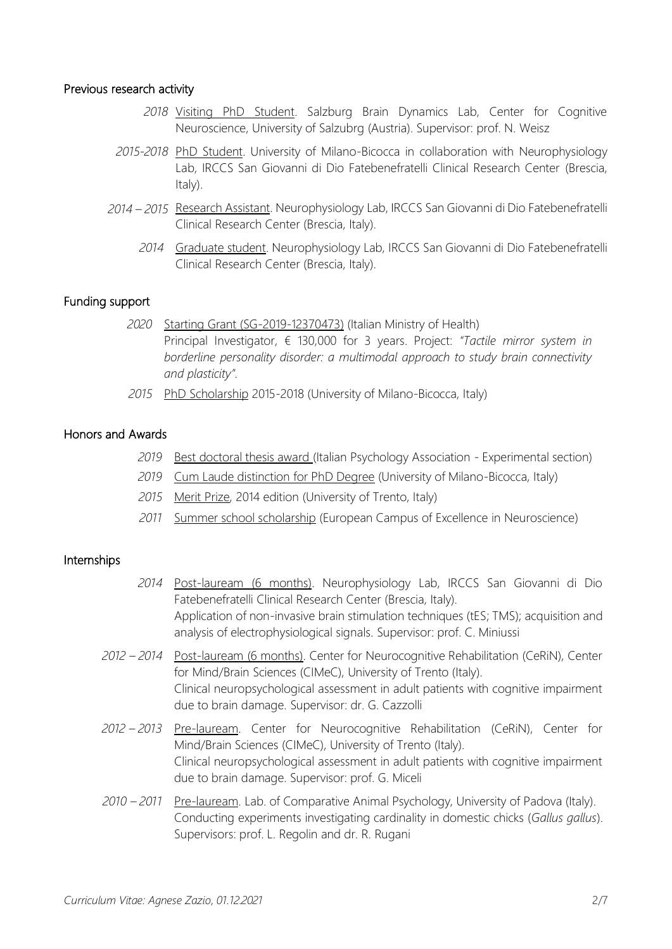#### Previous research activity

- *2018* Visiting PhD Student. Salzburg Brain Dynamics Lab, Center for Cognitive Neuroscience, University of Salzubrg (Austria). Supervisor: prof. N. Weisz
- *2015-2018* PhD Student. University of Milano-Bicocca in collaboration with Neurophysiology Lab, IRCCS San Giovanni di Dio Fatebenefratelli Clinical Research Center (Brescia, Italy).
- *2014 – 2015* Research Assistant. Neurophysiology Lab, IRCCS San Giovanni di Dio Fatebenefratelli Clinical Research Center (Brescia, Italy).
	- *2014* Graduate student. Neurophysiology Lab, IRCCS San Giovanni di Dio Fatebenefratelli Clinical Research Center (Brescia, Italy).

# Funding support

- *2020* Starting Grant (SG-2019-12370473) (Italian Ministry of Health) Principal Investigator, € 130,000 for 3 years. Project: *"Tactile mirror system in borderline personality disorder: a multimodal approach to study brain connectivity and plasticity".*
- *2015* PhD Scholarship 2015-2018 (University of Milano-Bicocca, Italy)

# Honors and Awards

- *2019* Best doctoral thesis award (Italian Psychology Association Experimental section)
- *2019* Cum Laude distinction for PhD Degree (University of Milano-Bicocca, Italy)
- *2015* Merit Prize, 2014 edition (University of Trento, Italy)
- *2011* Summer school scholarship (European Campus of Excellence in Neuroscience)

# Internships

- *2014* Post-lauream (6 months). Neurophysiology Lab, IRCCS San Giovanni di Dio Fatebenefratelli Clinical Research Center (Brescia, Italy). Application of non-invasive brain stimulation techniques (tES; TMS); acquisition and analysis of electrophysiological signals. Supervisor: prof. C. Miniussi
- *2012 – 2014* Post-lauream (6 months). Center for Neurocognitive Rehabilitation (CeRiN), Center for Mind/Brain Sciences (CIMeC), University of Trento (Italy). Clinical neuropsychological assessment in adult patients with cognitive impairment due to brain damage. Supervisor: dr. G. Cazzolli
- *2012 – 2013* Pre-lauream. Center for Neurocognitive Rehabilitation (CeRiN), Center for Mind/Brain Sciences (CIMeC), University of Trento (Italy). Clinical neuropsychological assessment in adult patients with cognitive impairment due to brain damage. Supervisor: prof. G. Miceli
- *2010 – 2011* Pre-lauream. Lab. of Comparative Animal Psychology, University of Padova (Italy). Conducting experiments investigating cardinality in domestic chicks (*Gallus gallus*). Supervisors: prof. L. Regolin and dr. R. Rugani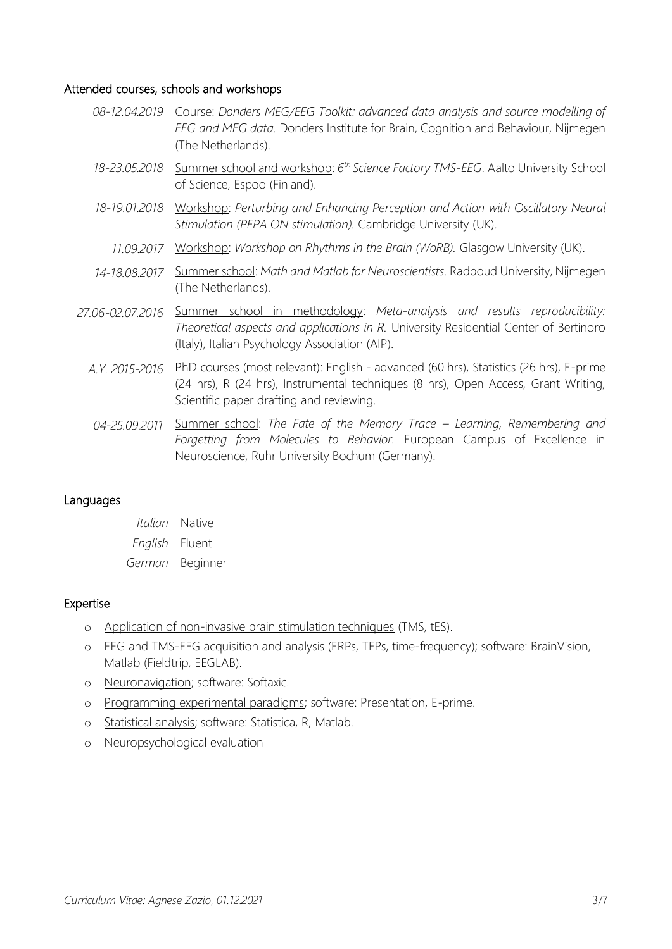### Attended courses, schools and workshops

|                  | 08-12.04.2019 Course: Donders MEG/EEG Toolkit: advanced data analysis and source modelling of<br>EEG and MEG data. Donders Institute for Brain, Cognition and Behaviour, Nijmegen<br>(The Netherlands).                  |
|------------------|--------------------------------------------------------------------------------------------------------------------------------------------------------------------------------------------------------------------------|
| 18-23.05.2018    | Summer school and workshop: 6 <sup>th</sup> Science Factory TMS-EEG. Aalto University School<br>of Science, Espoo (Finland).                                                                                             |
| 18-19.01.2018    | Workshop: Perturbing and Enhancing Perception and Action with Oscillatory Neural<br>Stimulation (PEPA ON stimulation). Cambridge University (UK).                                                                        |
| 11.09.2017       | Workshop: Workshop on Rhythms in the Brain (WoRB). Glasgow University (UK).                                                                                                                                              |
| 14-18.08.2017    | Summer school: Math and Matlab for Neuroscientists. Radboud University, Nijmegen<br>(The Netherlands).                                                                                                                   |
| 27.06-02.07.2016 | Summer school in methodology: Meta-analysis and results reproducibility:<br>Theoretical aspects and applications in R. University Residential Center of Bertinoro<br>(Italy), Italian Psychology Association (AIP).      |
| A.Y. 2015-2016   | PhD courses (most relevant): English - advanced (60 hrs), Statistics (26 hrs), E-prime<br>(24 hrs), R (24 hrs), Instrumental techniques (8 hrs), Open Access, Grant Writing,<br>Scientific paper drafting and reviewing. |
| 04-25.09.2011    | Summer school: The Fate of the Memory Trace – Learning, Remembering and                                                                                                                                                  |

*Forgetting from Molecules to Behavior.* European Campus of Excellence in Neuroscience, Ruhr University Bochum (Germany).

### Languages

| Italian        | <b>Native</b> |
|----------------|---------------|
| English Fluent |               |
| German         | Beginner      |

# Expertise

- o Application of non-invasive brain stimulation techniques (TMS, tES).
- o EEG and TMS-EEG acquisition and analysis (ERPs, TEPs, time-frequency); software: BrainVision, Matlab (Fieldtrip, EEGLAB).
- o Neuronavigation; software: Softaxic.
- o Programming experimental paradigms; software: Presentation, E-prime.
- o Statistical analysis; software: Statistica, R, Matlab.
- o Neuropsychological evaluation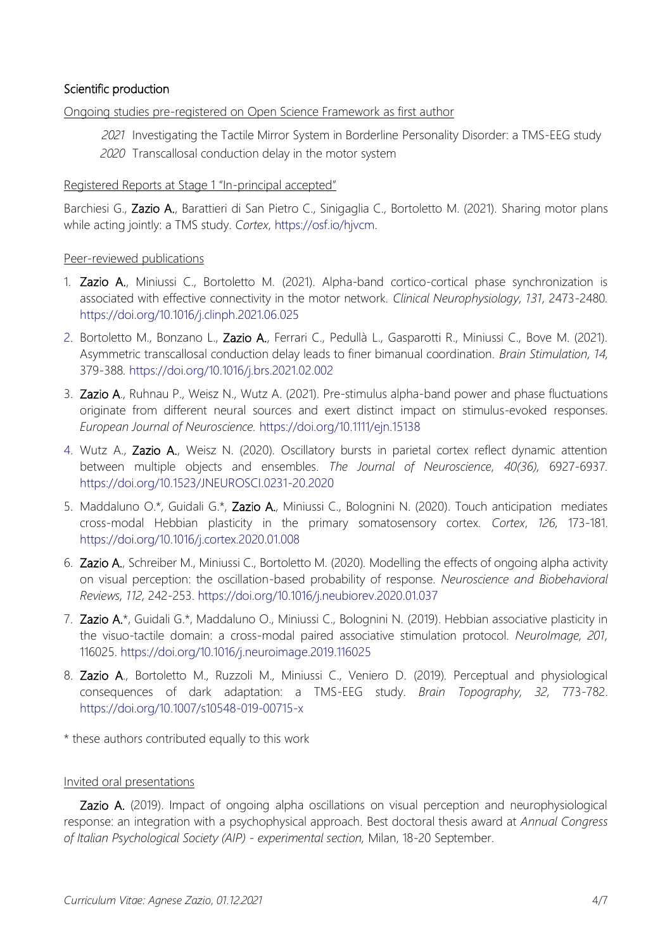# Scientific production

Ongoing studies pre-registered on Open Science Framework as first author

- *2021* Investigating the Tactile Mirror System in Borderline Personality Disorder: a TMS-EEG study
- *2020* Transcallosal conduction delay in the motor system

## Registered Reports at Stage 1 "In-principal accepted"

Barchiesi G., Zazio A., Barattieri di San Pietro C., Sinigaglia C., Bortoletto M. (2021). Sharing motor plans while acting jointly: a TMS study. *Cortex*, [https://osf.io/hjvcm.](https://osf.io/hjvcm)

### Peer-reviewed publications

- 1. Zazio A., Miniussi C., Bortoletto M. (2021). Alpha-band cortico-cortical phase synchronization is associated with effective connectivity in the motor network. *Clinical Neurophysiology, 131,* 2473-2480*.* https://doi.org/10.1016/j.clinph.2021.06.025
- 2. Bortoletto M., Bonzano L., Zazio A., Ferrari C., Pedullà L., Gasparotti R., Miniussi C., Bove M. (2021). Asymmetric transcallosal conduction delay leads to finer bimanual coordination. *Brain Stimulation, 14,*  379-388*.* <https://doi.org/10.1016/j.brs.2021.02.002>
- 3. Zazio A., Ruhnau P., Weisz N., Wutz A. (2021). Pre-stimulus alpha-band power and phase fluctuations originate from different neural sources and exert distinct impact on stimulus-evoked responses. *European Journal of Neuroscience.* https://doi.org/10.1111/ejn.15138
- 4. Wutz A., Zazio A., Weisz N. (2020)*.* Oscillatory bursts in parietal cortex reflect dynamic attention between multiple objects and ensembles. *The Journal of Neuroscience, 40(36),* 6927-6937*.*  https://doi.org/10.1523/JNEUROSCI.0231-20.2020
- 5. Maddaluno O.\*, Guidali G.\*, Zazio A., Miniussi C., Bolognini N. (2020). Touch anticipation mediates cross-modal Hebbian plasticity in the primary somatosensory cortex. *Cortex*, *126,* 173-181. <https://doi.org/10.1016/j.cortex.2020.01.008>
- 6. Zazio A., Schreiber M., Miniussi C., Bortoletto M. (2020)*.* Modelling the effects of ongoing alpha activity on visual perception: the oscillation-based probability of response. *Neuroscience and Biobehavioral Reviews, 112,* 242-253.<https://doi.org/10.1016/j.neubiorev.2020.01.037>
- 7. Zazio A.\*, Guidali G.\*, Maddaluno O., Miniussi C., Bolognini N. (2019). Hebbian associative plasticity in the visuo-tactile domain: a cross-modal paired associative stimulation protocol. *NeuroImage, 201,*  116025. <https://doi.org/10.1016/j.neuroimage.2019.116025>
- 8. Zazio A., Bortoletto M., Ruzzoli M., Miniussi C., Veniero D. (2019)*.* Perceptual and physiological consequences of dark adaptation: a TMS-EEG study. *Brain Topography, 32,* 773-782. <https://doi.org/10.1007/s10548-019-00715-x>

\* these authors contributed equally to this work

#### Invited oral presentations

Zazio A. (2019). Impact of ongoing alpha oscillations on visual perception and neurophysiological response: an integration with a psychophysical approach. Best doctoral thesis award at *Annual Congress of Italian Psychological Society (AIP) - experimental section,* Milan, 18-20 September.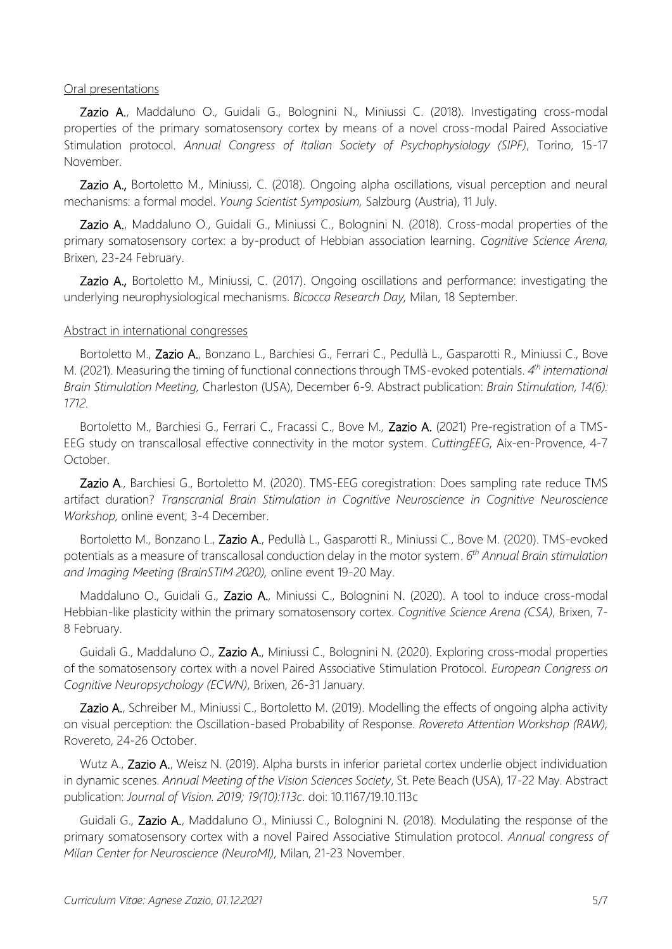#### Oral presentations

Zazio A., Maddaluno O., Guidali G., Bolognini N., Miniussi C. (2018). Investigating cross-modal properties of the primary somatosensory cortex by means of a novel cross-modal Paired Associative Stimulation protocol. *Annual Congress of Italian Society of Psychophysiology (SIPF)*, Torino, 15-17 November.

Zazio A., Bortoletto M., Miniussi, C. (2018). Ongoing alpha oscillations, visual perception and neural mechanisms: a formal model. *Young Scientist Symposium,* Salzburg (Austria), 11 July.

Zazio A., Maddaluno O., Guidali G., Miniussi C., Bolognini N. (2018). Cross-modal properties of the primary somatosensory cortex: a by-product of Hebbian association learning. *Cognitive Science Arena,*  Brixen, 23-24 February.

Zazio A., Bortoletto M., Miniussi, C. (2017). Ongoing oscillations and performance: investigating the underlying neurophysiological mechanisms. *Bicocca Research Day,* Milan, 18 September.

#### Abstract in international congresses

Bortoletto M., Zazio A., Bonzano L., Barchiesi G., Ferrari C., Pedullà L., Gasparotti R., Miniussi C., Bove M. (2021). Measuring the timing of functional connections through TMS-evoked potentials. 4<sup>th</sup> international *Brain Stimulation Meeting,* Charleston (USA), December 6-9. Abstract publication: *Brain Stimulation, 14(6): 1712.* 

Bortoletto M., Barchiesi G., Ferrari C., Fracassi C., Bove M., Zazio A. (2021) Pre-registration of a TMS-EEG study on transcallosal effective connectivity in the motor system. *CuttingEEG,* Aix-en-Provence, 4-7 October.

Zazio A., Barchiesi G., Bortoletto M. (2020). TMS-EEG coregistration: Does sampling rate reduce TMS artifact duration? *Transcranial Brain Stimulation in Cognitive Neuroscience in Cognitive Neuroscience Workshop,* online event, 3-4 December.

Bortoletto M., Bonzano L., Zazio A., Pedullà L., Gasparotti R., Miniussi C., Bove M. (2020). TMS-evoked potentials as a measure of transcallosal conduction delay in the motor system. *6 th Annual Brain stimulation and Imaging Meeting (BrainSTIM 2020),* online event 19-20 May.

Maddaluno O., Guidali G., Zazio A., Miniussi C., Bolognini N. (2020). A tool to induce cross-modal Hebbian-like plasticity within the primary somatosensory cortex. *Cognitive Science Arena (CSA)*, Brixen, 7- 8 February.

Guidali G., Maddaluno O., Zazio A., Miniussi C., Bolognini N. (2020). Exploring cross-modal properties of the somatosensory cortex with a novel Paired Associative Stimulation Protocol. *European Congress on Cognitive Neuropsychology (ECWN)*, Brixen, 26-31 January.

Zazio A., Schreiber M., Miniussi C., Bortoletto M. (2019). Modelling the effects of ongoing alpha activity on visual perception: the Oscillation-based Probability of Response. *Rovereto Attention Workshop (RAW),*  Rovereto, 24-26 October.

Wutz A., Zazio A., Weisz N. (2019). Alpha bursts in inferior parietal cortex underlie object individuation in dynamic scenes. *Annual Meeting of the Vision Sciences Society*, St. Pete Beach (USA), 17-22 May. Abstract publication: *Journal of Vision. 2019; 19(10):113c*. doi: 10.1167/19.10.113c

Guidali G., Zazio A., Maddaluno O., Miniussi C., Bolognini N. (2018). Modulating the response of the primary somatosensory cortex with a novel Paired Associative Stimulation protocol. *Annual congress of Milan Center for Neuroscience (NeuroMI),* Milan, 21-23 November.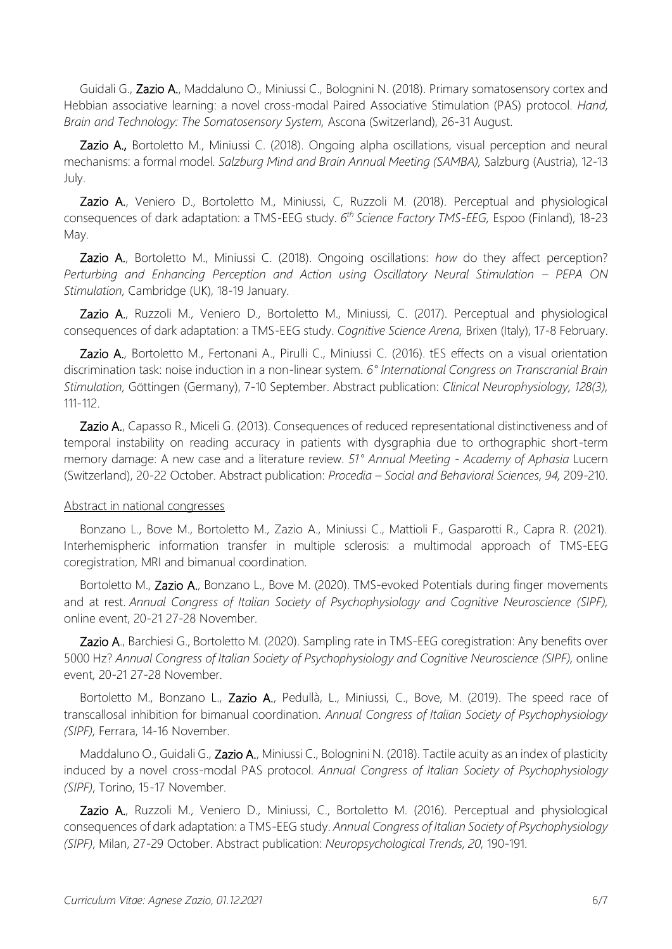Guidali G., Zazio A., Maddaluno O., Miniussi C., Bolognini N. (2018). Primary somatosensory cortex and Hebbian associative learning: a novel cross-modal Paired Associative Stimulation (PAS) protocol. *Hand, Brain and Technology: The Somatosensory System,* Ascona (Switzerland), 26-31 August.

Zazio A., Bortoletto M., Miniussi C. (2018). Ongoing alpha oscillations, visual perception and neural mechanisms: a formal model. *Salzburg Mind and Brain Annual Meeting (SAMBA),* Salzburg (Austria), 12-13 July.

Zazio A., Veniero D., Bortoletto M., Miniussi, C, Ruzzoli M. (2018). Perceptual and physiological consequences of dark adaptation: a TMS-EEG study. *6 th Science Factory TMS-EEG,* Espoo (Finland), 18-23 May.

Zazio A., Bortoletto M., Miniussi C. (2018). Ongoing oscillations: *how* do they affect perception? *Perturbing and Enhancing Perception and Action using Oscillatory Neural Stimulation – PEPA ON Stimulation,* Cambridge (UK), 18-19 January.

Zazio A., Ruzzoli M., Veniero D., Bortoletto M., Miniussi, C. (2017). Perceptual and physiological consequences of dark adaptation: a TMS-EEG study. *Cognitive Science Arena,* Brixen (Italy), 17-8 February.

Zazio A., Bortoletto M., Fertonani A., Pirulli C., Miniussi C. (2016). tES effects on a visual orientation discrimination task: noise induction in a non-linear system. *6° International Congress on Transcranial Brain Stimulation,* Göttingen (Germany), 7-10 September. Abstract publication: *Clinical Neurophysiology, 128(3),* 111-112.

Zazio A., Capasso R., Miceli G. (2013). Consequences of reduced representational distinctiveness and of temporal instability on reading accuracy in patients with dysgraphia due to orthographic short-term memory damage: A new case and a literature review. *51° Annual Meeting - Academy of Aphasia* Lucern (Switzerland), 20-22 October. Abstract publication: *Procedia – Social and Behavioral Sciences, 94,* 209-210.

#### Abstract in national congresses

Bonzano L., Bove M., Bortoletto M., Zazio A., Miniussi C., Mattioli F., Gasparotti R., Capra R. (2021). Interhemispheric information transfer in multiple sclerosis: a multimodal approach of TMS-EEG coregistration, MRI and bimanual coordination.

Bortoletto M., Zazio A., Bonzano L., Bove M. (2020). TMS-evoked Potentials during finger movements and at rest. *Annual Congress of Italian Society of Psychophysiology and Cognitive Neuroscience (SIPF),* online event, 20-21 27-28 November.

Zazio A., Barchiesi G., Bortoletto M. (2020). Sampling rate in TMS-EEG coregistration: Any benefits over 5000 Hz? *Annual Congress of Italian Society of Psychophysiology and Cognitive Neuroscience (SIPF),* online event, 20-21 27-28 November.

Bortoletto M., Bonzano L., Zazio A., Pedullà, L., Miniussi, C., Bove, M. (2019). The speed race of transcallosal inhibition for bimanual coordination. *Annual Congress of Italian Society of Psychophysiology (SIPF),* Ferrara, 14-16 November.

Maddaluno O., Guidali G., Zazio A., Miniussi C., Bolognini N. (2018). Tactile acuity as an index of plasticity induced by a novel cross-modal PAS protocol. *Annual Congress of Italian Society of Psychophysiology (SIPF)*, Torino, 15-17 November.

Zazio A., Ruzzoli M., Veniero D., Miniussi, C., Bortoletto M. (2016). Perceptual and physiological consequences of dark adaptation: a TMS-EEG study. *Annual Congress of Italian Society of Psychophysiology (SIPF)*, Milan, 27-29 October. Abstract publication: *Neuropsychological Trends, 20,* 190-191.